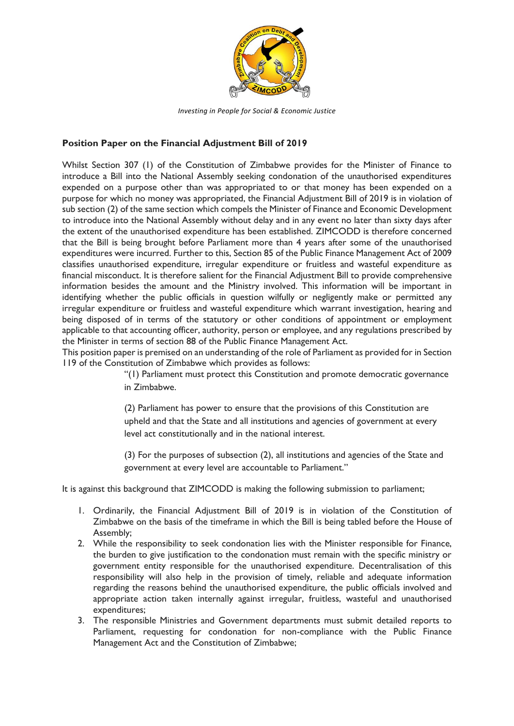

*Investing in People for Social & Economic Justice*

## **Position Paper on the Financial Adjustment Bill of 2019**

Whilst Section 307 (1) of the Constitution of Zimbabwe provides for the Minister of Finance to introduce a Bill into the National Assembly seeking condonation of the unauthorised expenditures expended on a purpose other than was appropriated to or that money has been expended on a purpose for which no money was appropriated, the Financial Adjustment Bill of 2019 is in violation of sub section (2) of the same section which compels the Minister of Finance and Economic Development to introduce into the National Assembly without delay and in any event no later than sixty days after the extent of the unauthorised expenditure has been established. ZIMCODD is therefore concerned that the Bill is being brought before Parliament more than 4 years after some of the unauthorised expenditures were incurred. Further to this, Section 85 of the Public Finance Management Act of 2009 classifies unauthorised expenditure, irregular expenditure or fruitless and wasteful expenditure as financial misconduct. It is therefore salient for the Financial Adjustment Bill to provide comprehensive information besides the amount and the Ministry involved. This information will be important in identifying whether the public officials in question wilfully or negligently make or permitted any irregular expenditure or fruitless and wasteful expenditure which warrant investigation, hearing and being disposed of in terms of the statutory or other conditions of appointment or employment applicable to that accounting officer, authority, person or employee, and any regulations prescribed by the Minister in terms of section 88 of the Public Finance Management Act.

This position paper is premised on an understanding of the role of Parliament as provided for in Section 119 of the Constitution of Zimbabwe which provides as follows:

"(1) Parliament must protect this Constitution and promote democratic governance in Zimbabwe.

(2) Parliament has power to ensure that the provisions of this Constitution are upheld and that the State and all institutions and agencies of government at every level act constitutionally and in the national interest.

(3) For the purposes of subsection (2), all institutions and agencies of the State and government at every level are accountable to Parliament."

It is against this background that ZIMCODD is making the following submission to parliament;

- 1. Ordinarily, the Financial Adjustment Bill of 2019 is in violation of the Constitution of Zimbabwe on the basis of the timeframe in which the Bill is being tabled before the House of Assembly;
- 2. While the responsibility to seek condonation lies with the Minister responsible for Finance, the burden to give justification to the condonation must remain with the specific ministry or government entity responsible for the unauthorised expenditure. Decentralisation of this responsibility will also help in the provision of timely, reliable and adequate information regarding the reasons behind the unauthorised expenditure, the public officials involved and appropriate action taken internally against irregular, fruitless, wasteful and unauthorised expenditures;
- 3. The responsible Ministries and Government departments must submit detailed reports to Parliament, requesting for condonation for non-compliance with the Public Finance Management Act and the Constitution of Zimbabwe;